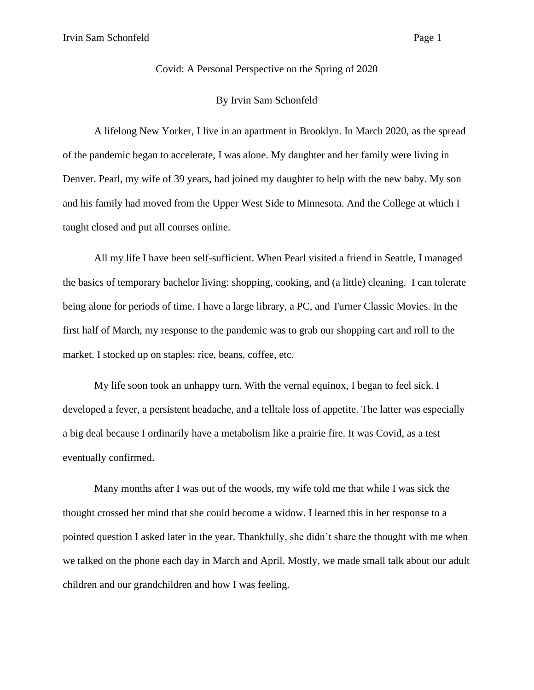Covid: A Personal Perspective on the Spring of 2020

## By Irvin Sam Schonfeld

A lifelong New Yorker, I live in an apartment in Brooklyn. In March 2020, as the spread of the pandemic began to accelerate, I was alone. My daughter and her family were living in Denver. Pearl, my wife of 39 years, had joined my daughter to help with the new baby. My son and his family had moved from the Upper West Side to Minnesota. And the College at which I taught closed and put all courses online.

All my life I have been self-sufficient. When Pearl visited a friend in Seattle, I managed the basics of temporary bachelor living: shopping, cooking, and (a little) cleaning. I can tolerate being alone for periods of time. I have a large library, a PC, and Turner Classic Movies. In the first half of March, my response to the pandemic was to grab our shopping cart and roll to the market. I stocked up on staples: rice, beans, coffee, etc.

My life soon took an unhappy turn. With the vernal equinox, I began to feel sick. I developed a fever, a persistent headache, and a telltale loss of appetite. The latter was especially a big deal because I ordinarily have a metabolism like a prairie fire. It was Covid, as a test eventually confirmed.

Many months after I was out of the woods, my wife told me that while I was sick the thought crossed her mind that she could become a widow. I learned this in her response to a pointed question I asked later in the year. Thankfully, she didn't share the thought with me when we talked on the phone each day in March and April. Mostly, we made small talk about our adult children and our grandchildren and how I was feeling.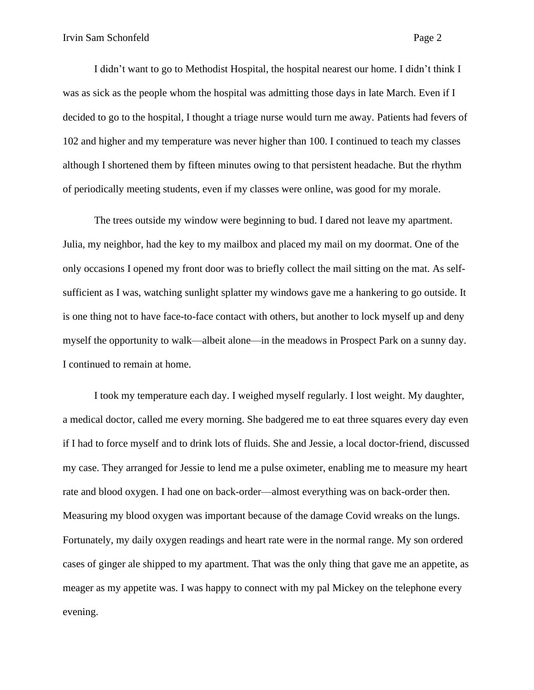I didn't want to go to Methodist Hospital, the hospital nearest our home. I didn't think I was as sick as the people whom the hospital was admitting those days in late March. Even if I decided to go to the hospital, I thought a triage nurse would turn me away. Patients had fevers of 102 and higher and my temperature was never higher than 100. I continued to teach my classes although I shortened them by fifteen minutes owing to that persistent headache. But the rhythm of periodically meeting students, even if my classes were online, was good for my morale.

The trees outside my window were beginning to bud. I dared not leave my apartment. Julia, my neighbor, had the key to my mailbox and placed my mail on my doormat. One of the only occasions I opened my front door was to briefly collect the mail sitting on the mat. As selfsufficient as I was, watching sunlight splatter my windows gave me a hankering to go outside. It is one thing not to have face-to-face contact with others, but another to lock myself up and deny myself the opportunity to walk—albeit alone—in the meadows in Prospect Park on a sunny day. I continued to remain at home.

I took my temperature each day. I weighed myself regularly. I lost weight. My daughter, a medical doctor, called me every morning. She badgered me to eat three squares every day even if I had to force myself and to drink lots of fluids. She and Jessie, a local doctor-friend, discussed my case. They arranged for Jessie to lend me a pulse oximeter, enabling me to measure my heart rate and blood oxygen. I had one on back-order—almost everything was on back-order then. Measuring my blood oxygen was important because of the damage Covid wreaks on the lungs. Fortunately, my daily oxygen readings and heart rate were in the normal range. My son ordered cases of ginger ale shipped to my apartment. That was the only thing that gave me an appetite, as meager as my appetite was. I was happy to connect with my pal Mickey on the telephone every evening.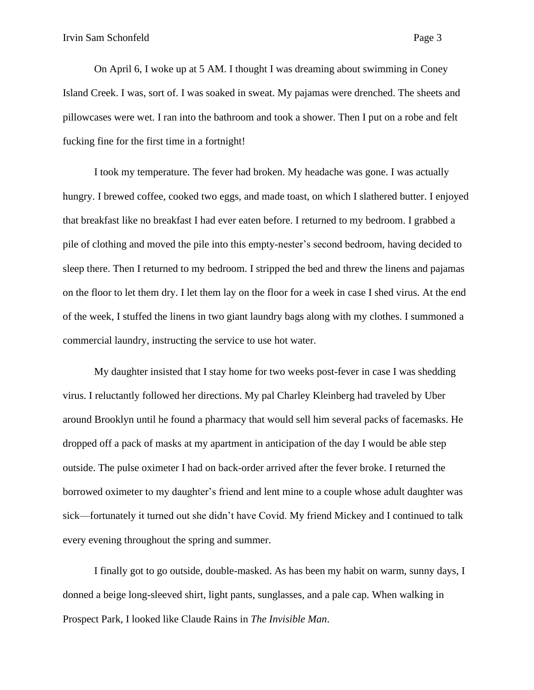On April 6, I woke up at 5 AM. I thought I was dreaming about swimming in Coney Island Creek. I was, sort of. I was soaked in sweat. My pajamas were drenched. The sheets and pillowcases were wet. I ran into the bathroom and took a shower. Then I put on a robe and felt fucking fine for the first time in a fortnight!

I took my temperature. The fever had broken. My headache was gone. I was actually hungry. I brewed coffee, cooked two eggs, and made toast, on which I slathered butter. I enjoyed that breakfast like no breakfast I had ever eaten before. I returned to my bedroom. I grabbed a pile of clothing and moved the pile into this empty-nester's second bedroom, having decided to sleep there. Then I returned to my bedroom. I stripped the bed and threw the linens and pajamas on the floor to let them dry. I let them lay on the floor for a week in case I shed virus. At the end of the week, I stuffed the linens in two giant laundry bags along with my clothes. I summoned a commercial laundry, instructing the service to use hot water.

My daughter insisted that I stay home for two weeks post-fever in case I was shedding virus. I reluctantly followed her directions. My pal Charley Kleinberg had traveled by Uber around Brooklyn until he found a pharmacy that would sell him several packs of facemasks. He dropped off a pack of masks at my apartment in anticipation of the day I would be able step outside. The pulse oximeter I had on back-order arrived after the fever broke. I returned the borrowed oximeter to my daughter's friend and lent mine to a couple whose adult daughter was sick—fortunately it turned out she didn't have Covid. My friend Mickey and I continued to talk every evening throughout the spring and summer.

I finally got to go outside, double-masked. As has been my habit on warm, sunny days, I donned a beige long-sleeved shirt, light pants, sunglasses, and a pale cap. When walking in Prospect Park, I looked like Claude Rains in *The Invisible Man*.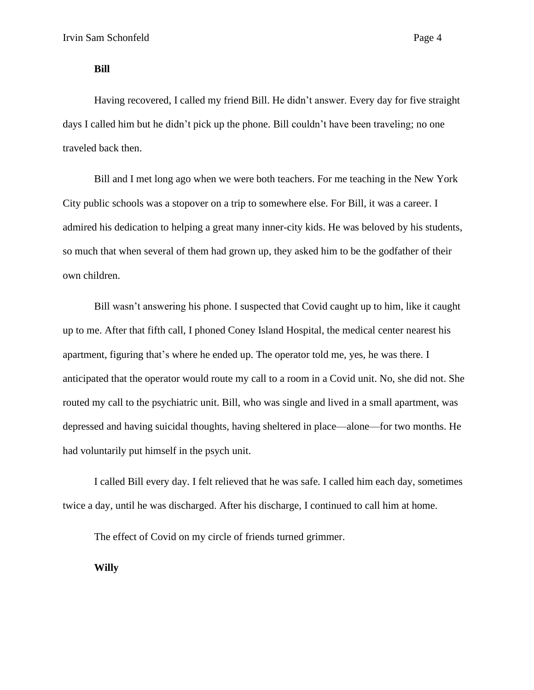## **Bill**

Having recovered, I called my friend Bill. He didn't answer. Every day for five straight days I called him but he didn't pick up the phone. Bill couldn't have been traveling; no one traveled back then.

Bill and I met long ago when we were both teachers. For me teaching in the New York City public schools was a stopover on a trip to somewhere else. For Bill, it was a career. I admired his dedication to helping a great many inner-city kids. He was beloved by his students, so much that when several of them had grown up, they asked him to be the godfather of their own children.

Bill wasn't answering his phone. I suspected that Covid caught up to him, like it caught up to me. After that fifth call, I phoned Coney Island Hospital, the medical center nearest his apartment, figuring that's where he ended up. The operator told me, yes, he was there. I anticipated that the operator would route my call to a room in a Covid unit. No, she did not. She routed my call to the psychiatric unit. Bill, who was single and lived in a small apartment, was depressed and having suicidal thoughts, having sheltered in place—alone—for two months. He had voluntarily put himself in the psych unit.

I called Bill every day. I felt relieved that he was safe. I called him each day, sometimes twice a day, until he was discharged. After his discharge, I continued to call him at home.

The effect of Covid on my circle of friends turned grimmer.

**Willy**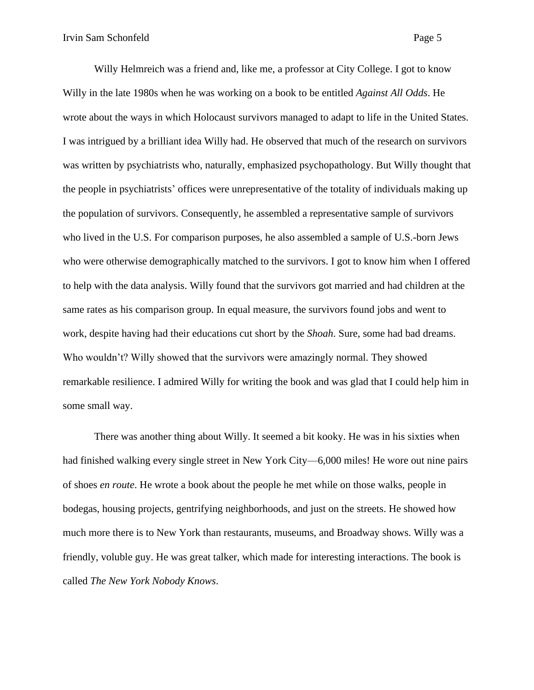Willy Helmreich was a friend and, like me, a professor at City College. I got to know Willy in the late 1980s when he was working on a book to be entitled *Against All Odds*. He wrote about the ways in which Holocaust survivors managed to adapt to life in the United States. I was intrigued by a brilliant idea Willy had. He observed that much of the research on survivors was written by psychiatrists who, naturally, emphasized psychopathology. But Willy thought that the people in psychiatrists' offices were unrepresentative of the totality of individuals making up the population of survivors. Consequently, he assembled a representative sample of survivors who lived in the U.S. For comparison purposes, he also assembled a sample of U.S.-born Jews who were otherwise demographically matched to the survivors. I got to know him when I offered to help with the data analysis. Willy found that the survivors got married and had children at the same rates as his comparison group. In equal measure, the survivors found jobs and went to work, despite having had their educations cut short by the *Shoah*. Sure, some had bad dreams. Who wouldn't? Willy showed that the survivors were amazingly normal. They showed remarkable resilience. I admired Willy for writing the book and was glad that I could help him in some small way.

There was another thing about Willy. It seemed a bit kooky. He was in his sixties when had finished walking every single street in New York City—6,000 miles! He wore out nine pairs of shoes *en route*. He wrote a book about the people he met while on those walks, people in bodegas, housing projects, gentrifying neighborhoods, and just on the streets. He showed how much more there is to New York than restaurants, museums, and Broadway shows. Willy was a friendly, voluble guy. He was great talker, which made for interesting interactions. The book is called *The New York Nobody Knows*.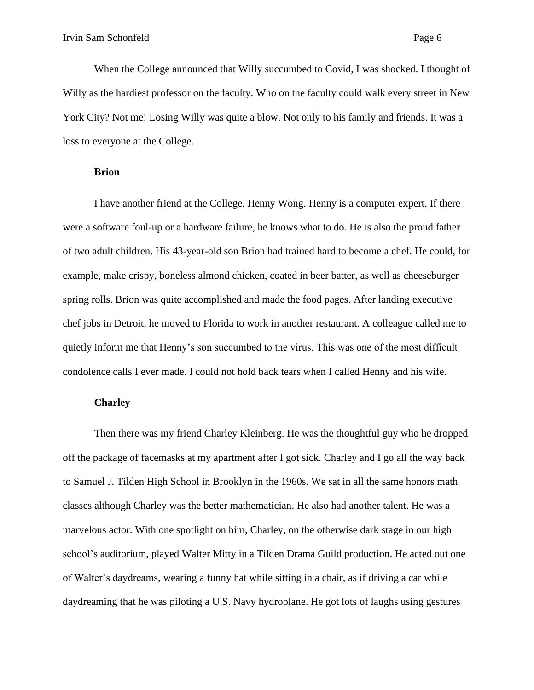When the College announced that Willy succumbed to Covid, I was shocked. I thought of Willy as the hardiest professor on the faculty. Who on the faculty could walk every street in New York City? Not me! Losing Willy was quite a blow. Not only to his family and friends. It was a loss to everyone at the College.

## **Brion**

I have another friend at the College. Henny Wong. Henny is a computer expert. If there were a software foul-up or a hardware failure, he knows what to do. He is also the proud father of two adult children. His 43-year-old son Brion had trained hard to become a chef. He could, for example, make crispy, boneless almond chicken, coated in beer batter, as well as cheeseburger spring rolls. Brion was quite accomplished and made the food pages. After landing executive chef jobs in Detroit, he moved to Florida to work in another restaurant. A colleague called me to quietly inform me that Henny's son succumbed to the virus. This was one of the most difficult condolence calls I ever made. I could not hold back tears when I called Henny and his wife.

## **Charley**

Then there was my friend Charley Kleinberg. He was the thoughtful guy who he dropped off the package of facemasks at my apartment after I got sick. Charley and I go all the way back to Samuel J. Tilden High School in Brooklyn in the 1960s. We sat in all the same honors math classes although Charley was the better mathematician. He also had another talent. He was a marvelous actor. With one spotlight on him, Charley, on the otherwise dark stage in our high school's auditorium, played Walter Mitty in a Tilden Drama Guild production. He acted out one of Walter's daydreams, wearing a funny hat while sitting in a chair, as if driving a car while daydreaming that he was piloting a U.S. Navy hydroplane. He got lots of laughs using gestures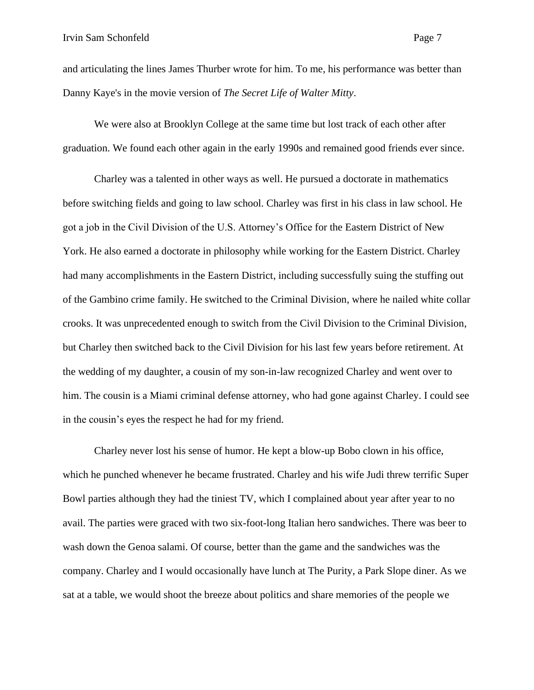and articulating the lines James Thurber wrote for him. To me, his performance was better than Danny Kaye's in the movie version of *The Secret Life of Walter Mitty*.

We were also at Brooklyn College at the same time but lost track of each other after graduation. We found each other again in the early 1990s and remained good friends ever since.

Charley was a talented in other ways as well. He pursued a doctorate in mathematics before switching fields and going to law school. Charley was first in his class in law school. He got a job in the Civil Division of the U.S. Attorney's Office for the Eastern District of New York. He also earned a doctorate in philosophy while working for the Eastern District. Charley had many accomplishments in the Eastern District, including successfully suing the stuffing out of the Gambino crime family. He switched to the Criminal Division, where he nailed white collar crooks. It was unprecedented enough to switch from the Civil Division to the Criminal Division, but Charley then switched back to the Civil Division for his last few years before retirement. At the wedding of my daughter, a cousin of my son-in-law recognized Charley and went over to him. The cousin is a Miami criminal defense attorney, who had gone against Charley. I could see in the cousin's eyes the respect he had for my friend.

Charley never lost his sense of humor. He kept a blow-up Bobo clown in his office, which he punched whenever he became frustrated. Charley and his wife Judi threw terrific Super Bowl parties although they had the tiniest TV, which I complained about year after year to no avail. The parties were graced with two six-foot-long Italian hero sandwiches. There was beer to wash down the Genoa salami. Of course, better than the game and the sandwiches was the company. Charley and I would occasionally have lunch at The Purity, a Park Slope diner. As we sat at a table, we would shoot the breeze about politics and share memories of the people we